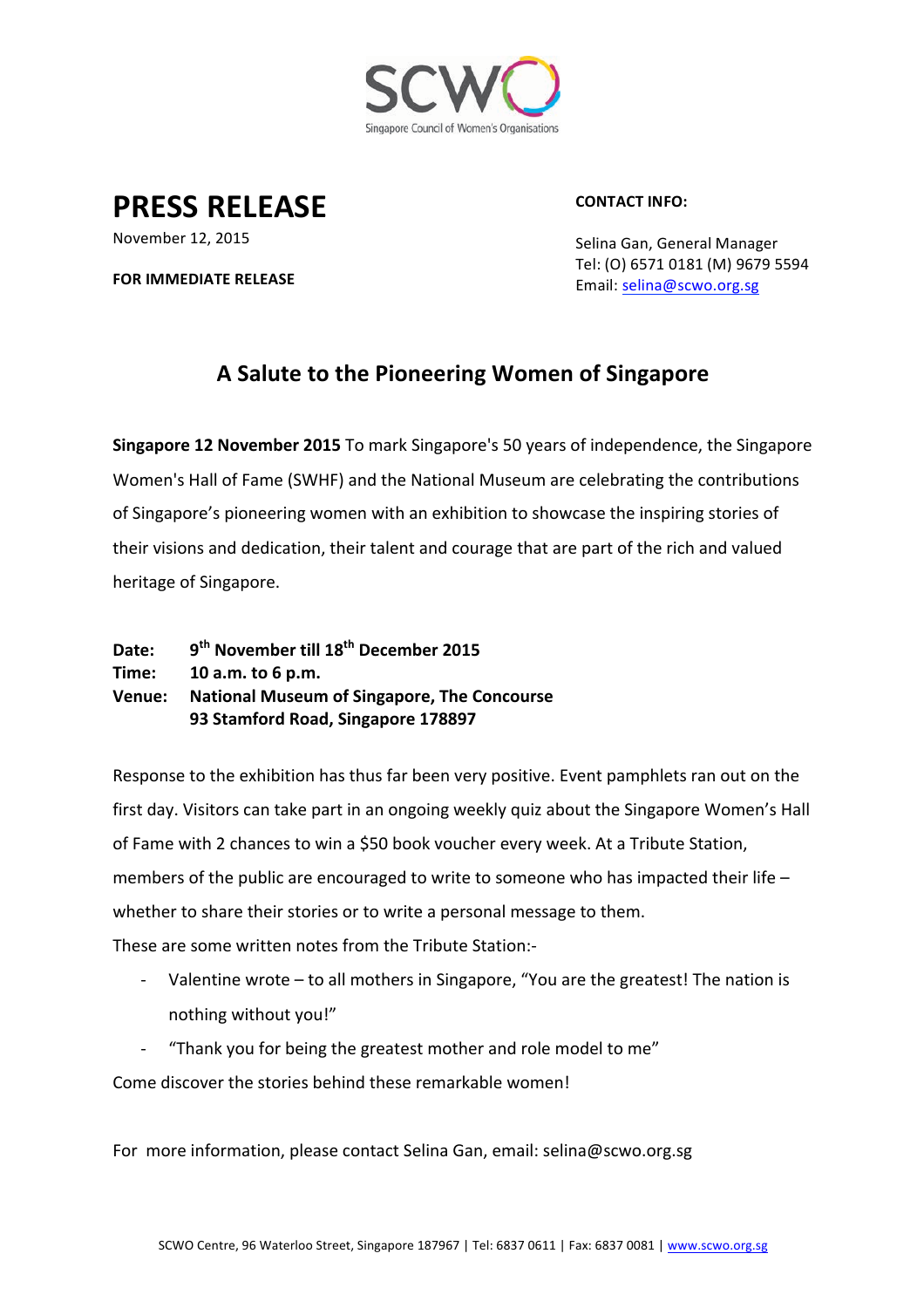

**PRESS RELEASE**

**CONTACT INFO:**

November 12, 2015

**FOR IMMEDIATE RELEASE** 

Selina Gan, General Manager Tel: (O) 6571 0181 (M) 9679 5594 Email: selina@scwo.org.sg

## **A Salute to the Pioneering Women of Singapore**

**Singapore 12 November 2015** To mark Singapore's 50 years of independence, the Singapore Women's Hall of Fame (SWHF) and the National Museum are celebrating the contributions of Singapore's pioneering women with an exhibition to showcase the inspiring stories of their visions and dedication, their talent and courage that are part of the rich and valued heritage of Singapore.

| Date:  | 9 <sup>th</sup> November till 18 <sup>th</sup> December 2015 |
|--------|--------------------------------------------------------------|
| Time:  | 10 a.m. to 6 p.m.                                            |
| Venue: | <b>National Museum of Singapore, The Concourse</b>           |
|        | 93 Stamford Road, Singapore 178897                           |

Response to the exhibition has thus far been very positive. Event pamphlets ran out on the first day. Visitors can take part in an ongoing weekly quiz about the Singapore Women's Hall of Fame with 2 chances to win a \$50 book voucher every week. At a Tribute Station, members of the public are encouraged to write to someone who has impacted their life  $$ whether to share their stories or to write a personal message to them. These are some written notes from the Tribute Station:-

- Valentine wrote to all mothers in Singapore, "You are the greatest! The nation is nothing without you!"
- "Thank you for being the greatest mother and role model to me"

Come discover the stories behind these remarkable women!

For more information, please contact Selina Gan, email: selina@scwo.org.sg